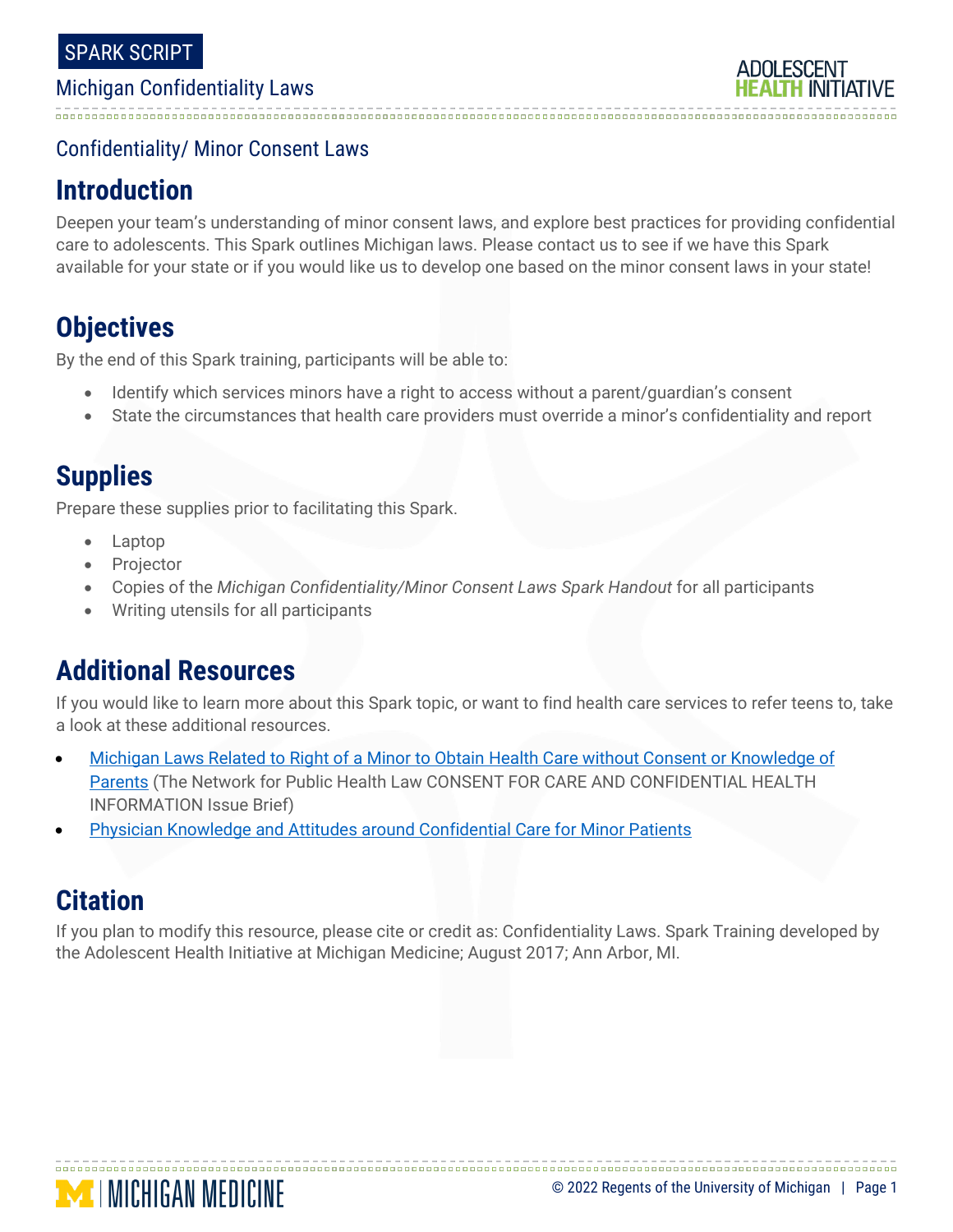### Confidentiality/ Minor Consent Laws

## **Introduction**

Deepen your team's understanding of minor consent laws, and explore best practices for providing confidential care to adolescents. This Spark outlines Michigan laws. Please contact us to see if we have this Spark available for your state or if you would like us to develop one based on the minor consent laws in your state!

## **Objectives**

By the end of this Spark training, participants will be able to:

- Identify which services minors have a right to access without a parent/guardian's consent
- State the circumstances that health care providers must override a minor's confidentiality and report

## **Supplies**

Prepare these supplies prior to facilitating this Spark.

- Laptop
- **Projector**
- Copies of the *Michigan Confidentiality/Minor Consent Laws Spark Handout* for all participants
- Writing utensils for all participants

## **Additional Resources**

If you would like to learn more about this Spark topic, or want to find health care services to refer teens to, take a look at these additional resources.

- [Michigan Laws Related to Right of a Minor to Obtain Health Care without Consent or Knowledge of](https://www.networkforphl.org/wp-content/uploads/2020/05/Issue-Brief-Michigan-Minor-Privacy-Laws-May-2020-Update-DC.pdf)  [Parents](https://www.networkforphl.org/wp-content/uploads/2020/05/Issue-Brief-Michigan-Minor-Privacy-Laws-May-2020-Update-DC.pdf) (The Network for Public Health Law CONSENT FOR CARE AND CONFIDENTIAL HEALTH INFORMATION Issue Brief)
- [Physician Knowledge and Attitudes around Confidential Care for Minor Patients](http://www.sciencedirect.com/science/article/pii/S1083318814003064?via%3Dihub)

## **Citation**

If you plan to modify this resource, please cite or credit as: Confidentiality Laws. Spark Training developed by the Adolescent Health Initiative at Michigan Medicine; August 2017; Ann Arbor, MI.

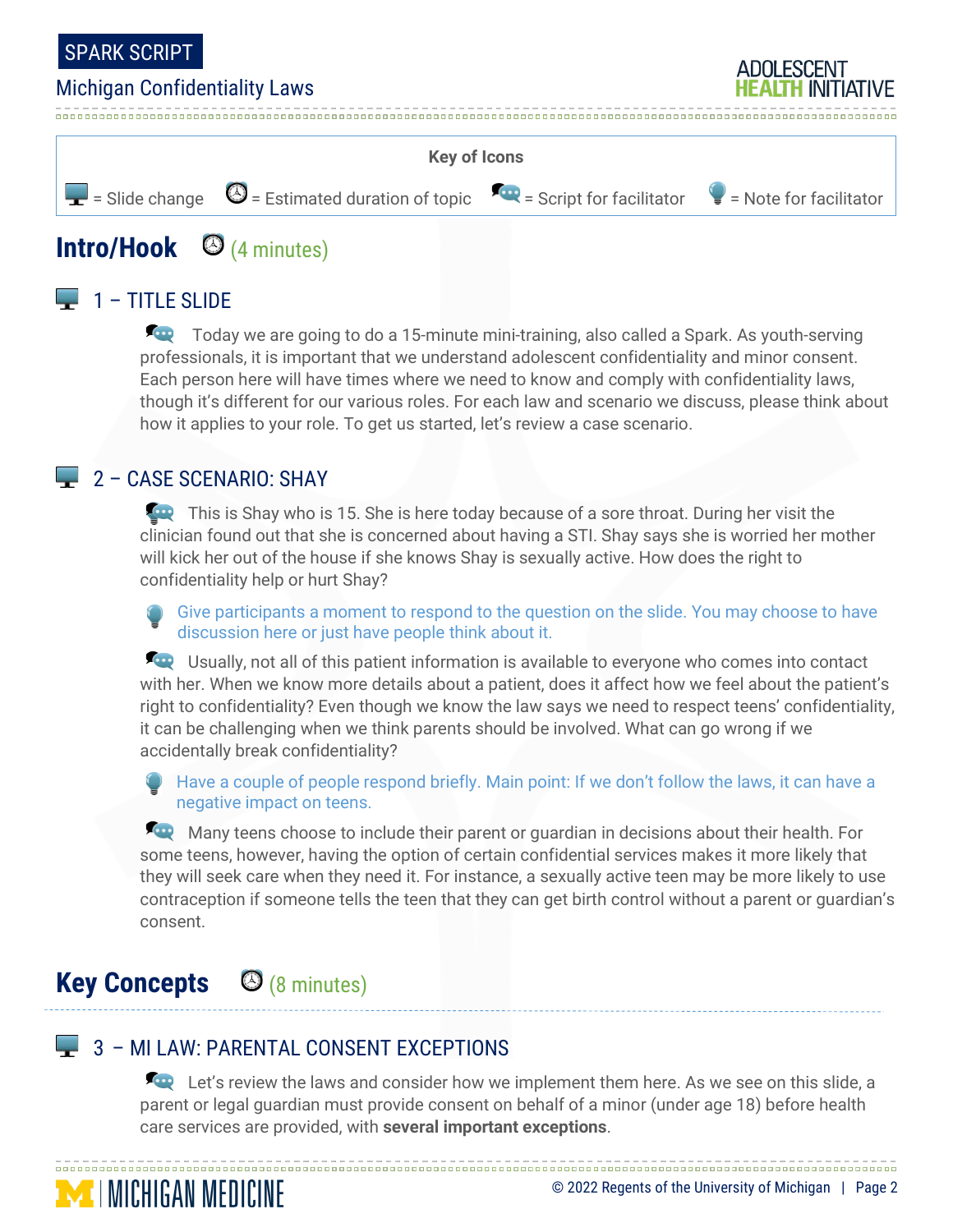



# **Intro/Hook** (4 minutes)

## $\Box$  1 – TITLE SLIDE

Today we are going to do a 15-minute mini-training, also called a Spark. As youth-serving professionals, it is important that we understand adolescent confidentiality and minor consent. Each person here will have times where we need to know and comply with confidentiality laws, though it's different for our various roles. For each law and scenario we discuss, please think about how it applies to your role. To get us started, let's review a case scenario.

### **2 - CASE SCENARIO: SHAY**

This is Shay who is 15. She is here today because of a sore throat. During her visit the clinician found out that she is concerned about having a STI. Shay says she is worried her mother will kick her out of the house if she knows Shay is sexually active. How does the right to confidentiality help or hurt Shay?

Give participants a moment to respond to the question on the slide. You may choose to have discussion here or just have people think about it.

**EXCO** Usually, not all of this patient information is available to everyone who comes into contact with her. When we know more details about a patient, does it affect how we feel about the patient's right to confidentiality? Even though we know the law says we need to respect teens' confidentiality, it can be challenging when we think parents should be involved. What can go wrong if we accidentally break confidentiality?

Have a couple of people respond briefly. Main point: If we don't follow the laws, it can have a negative impact on teens.

Many teens choose to include their parent or quardian in decisions about their health. For some teens, however, having the option of certain confidential services makes it more likely that they will seek care when they need it. For instance, a sexually active teen may be more likely to use contraception if someone tells the teen that they can get birth control without a parent or guardian's consent.

# **Key Concepts** (8 minutes)

**MENGAN MEDICINE** 

### $\blacktriangleright$  3 – MI LAW: PARENTAL CONSENT EXCEPTIONS

Let's review the laws and consider how we implement them here. As we see on this slide, a parent or legal guardian must provide consent on behalf of a minor (under age 18) before health care services are provided, with **several important exceptions**.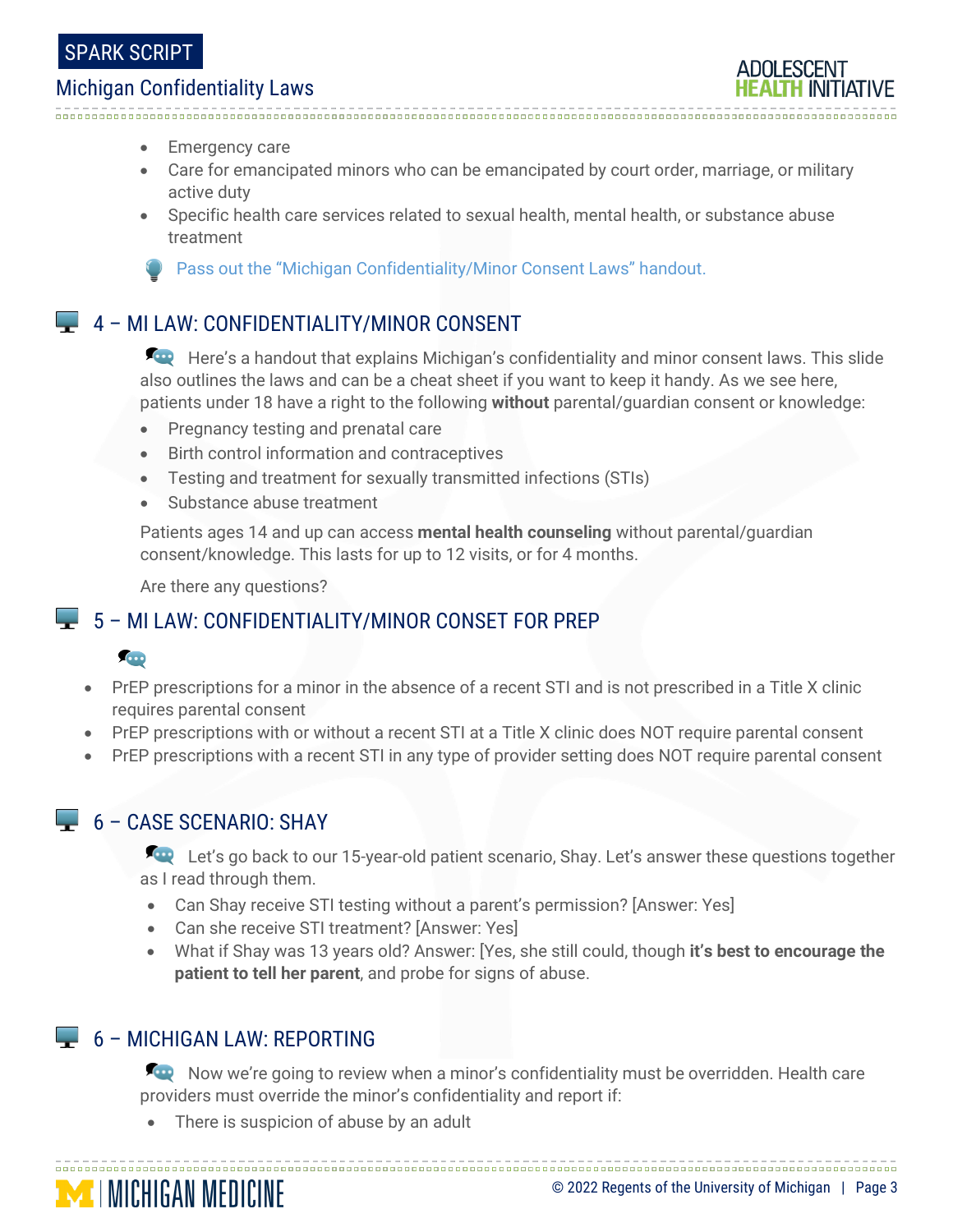- Emergency care
- Care for emancipated minors who can be emancipated by court order, marriage, or military active duty
- Specific health care services related to sexual health, mental health, or substance abuse treatment

Pass out the "Michigan Confidentiality/Minor Consent Laws" handout.

### $\Box$  4 – MI LAW: CONFIDENTIALITY/MINOR CONSENT

Here's a handout that explains Michigan's confidentiality and minor consent laws. This slide also outlines the laws and can be a cheat sheet if you want to keep it handy. As we see here, patients under 18 have a right to the following **without** parental/guardian consent or knowledge:

- Pregnancy testing and prenatal care
- Birth control information and contraceptives
- Testing and treatment for sexually transmitted infections (STIs)
- Substance abuse treatment

Patients ages 14 and up can access **mental health counseling** without parental/guardian consent/knowledge. This lasts for up to 12 visits, or for 4 months.

Are there any questions?

### 5 – MI LAW: CONFIDENTIALITY/MINOR CONSET FOR PREP

#### **COD**

- PrEP prescriptions for a minor in the absence of a recent STI and is not prescribed in a Title X clinic requires parental consent
- PrEP prescriptions with or without a recent STI at a Title X clinic does NOT require parental consent
- PrEP prescriptions with a recent STI in any type of provider setting does NOT require parental consent

### 6 – CASE SCENARIO: SHAY

Let's go back to our 15-year-old patient scenario, Shay. Let's answer these questions together as I read through them.

- Can Shay receive STI testing without a parent's permission? [Answer: Yes]
- Can she receive STI treatment? [Answer: Yes]
- What if Shay was 13 years old? Answer: [Yes, she still could, though **it's best to encourage the patient to tell her parent**, and probe for signs of abuse.

### 6 – MICHIGAN LAW: REPORTING

**MINICHIGAN MEDICINE** 

Now we're going to review when a minor's confidentiality must be overridden. Health care providers must override the minor's confidentiality and report if:

There is suspicion of abuse by an adult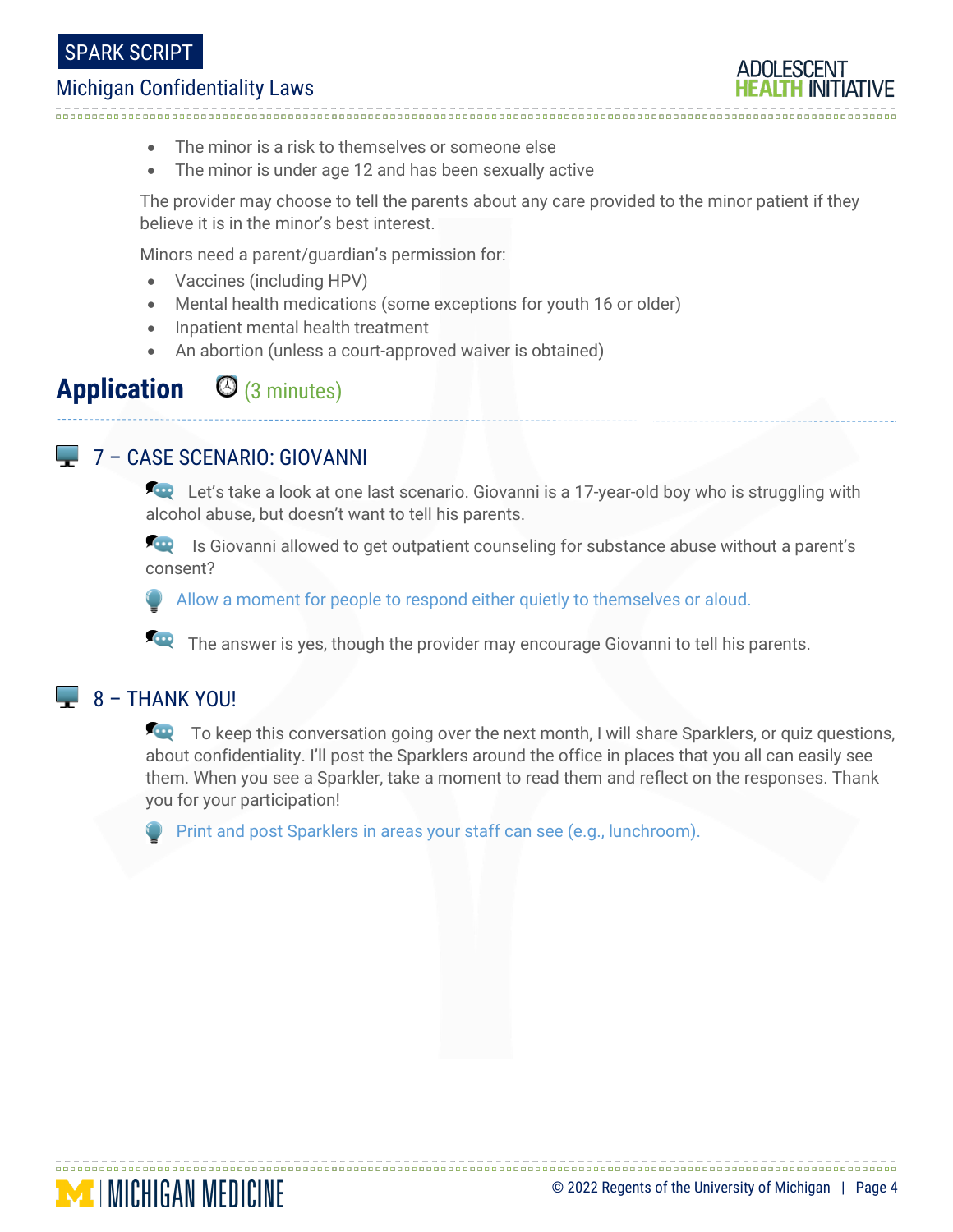- The minor is a risk to themselves or someone else
- The minor is under age 12 and has been sexually active

The provider may choose to tell the parents about any care provided to the minor patient if they believe it is in the minor's best interest.

Minors need a parent/guardian's permission for:

- Vaccines (including HPV)
- Mental health medications (some exceptions for youth 16 or older)
- Inpatient mental health treatment
- An abortion (unless a court-approved waiver is obtained)

# Application  $\Theta$  (3 minutes)

### 7 – CASE SCENARIO: GIOVANNI

Let's take a look at one last scenario. Giovanni is a 17-year-old boy who is struggling with alcohol abuse, but doesn't want to tell his parents.

**In August 2018** Is Giovanni allowed to get outpatient counseling for substance abuse without a parent's consent?

Allow a moment for people to respond either quietly to themselves or aloud.

The answer is yes, though the provider may encourage Giovanni to tell his parents.

#### $\Box$  8 – THANK YOU!

To keep this conversation going over the next month, I will share Sparklers, or quiz questions, about confidentiality. I'll post the Sparklers around the office in places that you all can easily see them. When you see a Sparkler, take a moment to read them and reflect on the responses. Thank you for your participation!

Print and post Sparklers in areas your staff can see (e.g., lunchroom).